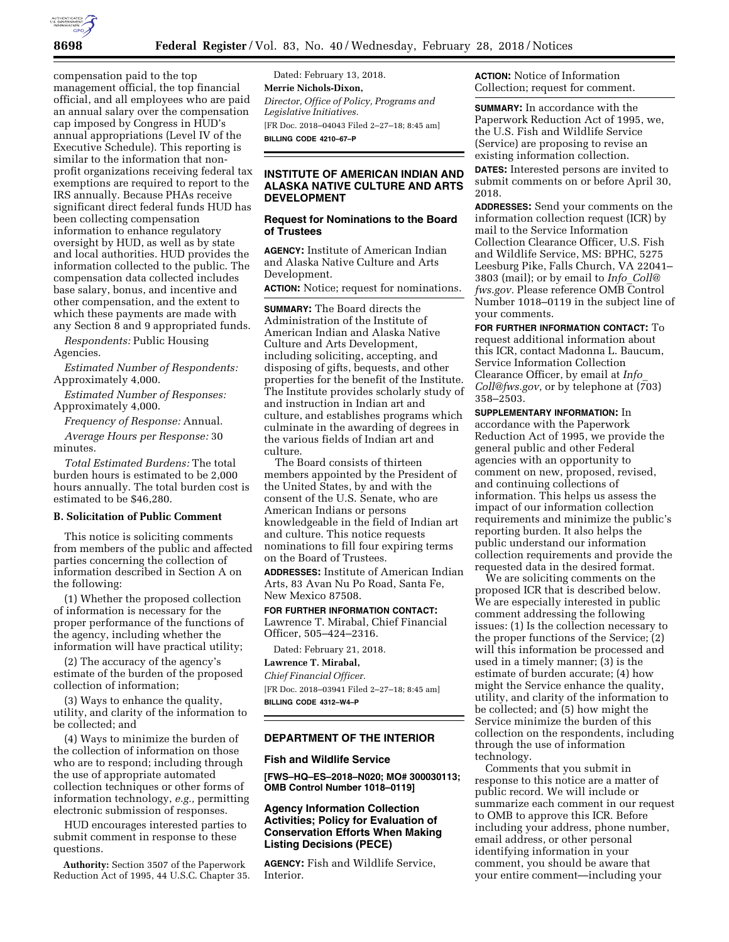

compensation paid to the top management official, the top financial official, and all employees who are paid an annual salary over the compensation cap imposed by Congress in HUD's annual appropriations (Level IV of the Executive Schedule). This reporting is similar to the information that nonprofit organizations receiving federal tax exemptions are required to report to the IRS annually. Because PHAs receive significant direct federal funds HUD has been collecting compensation information to enhance regulatory oversight by HUD, as well as by state and local authorities. HUD provides the information collected to the public. The compensation data collected includes base salary, bonus, and incentive and other compensation, and the extent to which these payments are made with any Section 8 and 9 appropriated funds.

*Respondents:* Public Housing Agencies.

*Estimated Number of Respondents:*  Approximately 4,000.

*Estimated Number of Responses:*  Approximately 4,000.

*Frequency of Response:* Annual.

*Average Hours per Response:* 30 minutes.

*Total Estimated Burdens:* The total burden hours is estimated to be 2,000 hours annually. The total burden cost is estimated to be \$46,280.

# **B. Solicitation of Public Comment**

This notice is soliciting comments from members of the public and affected parties concerning the collection of information described in Section A on the following:

(1) Whether the proposed collection of information is necessary for the proper performance of the functions of the agency, including whether the information will have practical utility;

(2) The accuracy of the agency's estimate of the burden of the proposed collection of information;

(3) Ways to enhance the quality, utility, and clarity of the information to be collected; and

(4) Ways to minimize the burden of the collection of information on those who are to respond; including through the use of appropriate automated collection techniques or other forms of information technology, *e.g.,* permitting electronic submission of responses.

HUD encourages interested parties to submit comment in response to these questions.

**Authority:** Section 3507 of the Paperwork Reduction Act of 1995, 44 U.S.C. Chapter 35.

Dated: February 13, 2018. **Merrie Nichols-Dixon,**  *Director, Office of Policy, Programs and Legislative Initiatives.*  [FR Doc. 2018–04043 Filed 2–27–18; 8:45 am] **BILLING CODE 4210–67–P** 

# **INSTITUTE OF AMERICAN INDIAN AND ALASKA NATIVE CULTURE AND ARTS DEVELOPMENT**

### **Request for Nominations to the Board of Trustees**

**AGENCY:** Institute of American Indian and Alaska Native Culture and Arts Development.

**ACTION:** Notice; request for nominations.

**SUMMARY:** The Board directs the Administration of the Institute of American Indian and Alaska Native Culture and Arts Development, including soliciting, accepting, and disposing of gifts, bequests, and other properties for the benefit of the Institute. The Institute provides scholarly study of and instruction in Indian art and culture, and establishes programs which culminate in the awarding of degrees in the various fields of Indian art and culture.

The Board consists of thirteen members appointed by the President of the United States, by and with the consent of the U.S. Senate, who are American Indians or persons knowledgeable in the field of Indian art and culture. This notice requests nominations to fill four expiring terms on the Board of Trustees.

**ADDRESSES:** Institute of American Indian Arts, 83 Avan Nu Po Road, Santa Fe, New Mexico 87508.

**FOR FURTHER INFORMATION CONTACT:**  Lawrence T. Mirabal, Chief Financial Officer, 505–424–2316.

Dated: February 21, 2018.

**Lawrence T. Mirabal,** 

*Chief Financial Officer.*  [FR Doc. 2018–03941 Filed 2–27–18; 8:45 am] **BILLING CODE 4312–W4–P** 

## **DEPARTMENT OF THE INTERIOR**

#### **Fish and Wildlife Service**

**[FWS–HQ–ES–2018–N020; MO# 300030113; OMB Control Number 1018–0119]** 

# **Agency Information Collection Activities; Policy for Evaluation of Conservation Efforts When Making Listing Decisions (PECE)**

**AGENCY:** Fish and Wildlife Service, Interior.

**ACTION:** Notice of Information Collection; request for comment.

**SUMMARY:** In accordance with the Paperwork Reduction Act of 1995, we, the U.S. Fish and Wildlife Service (Service) are proposing to revise an existing information collection.

**DATES:** Interested persons are invited to submit comments on or before April 30, 2018.

**ADDRESSES:** Send your comments on the information collection request (ICR) by mail to the Service Information Collection Clearance Officer, U.S. Fish and Wildlife Service, MS: BPHC, 5275 Leesburg Pike, Falls Church, VA 22041– 3803 (mail); or by email to *Info*\_*[Coll@](mailto:Info_Coll@fws.gov) [fws.gov.](mailto:Info_Coll@fws.gov)* Please reference OMB Control Number 1018–0119 in the subject line of your comments.

**FOR FURTHER INFORMATION CONTACT:** To request additional information about this ICR, contact Madonna L. Baucum, Service Information Collection Clearance Officer, by email at *[Info](mailto:Info_Coll@fws.gov)*\_ *[Coll@fws.gov,](mailto:Info_Coll@fws.gov)* or by telephone at (703) 358–2503.

**SUPPLEMENTARY INFORMATION:** In accordance with the Paperwork Reduction Act of 1995, we provide the general public and other Federal agencies with an opportunity to comment on new, proposed, revised, and continuing collections of information. This helps us assess the impact of our information collection requirements and minimize the public's reporting burden. It also helps the public understand our information collection requirements and provide the requested data in the desired format.

We are soliciting comments on the proposed ICR that is described below. We are especially interested in public comment addressing the following issues: (1) Is the collection necessary to the proper functions of the Service; (2) will this information be processed and used in a timely manner; (3) is the estimate of burden accurate; (4) how might the Service enhance the quality, utility, and clarity of the information to be collected; and (5) how might the Service minimize the burden of this collection on the respondents, including through the use of information technology.

Comments that you submit in response to this notice are a matter of public record. We will include or summarize each comment in our request to OMB to approve this ICR. Before including your address, phone number, email address, or other personal identifying information in your comment, you should be aware that your entire comment—including your